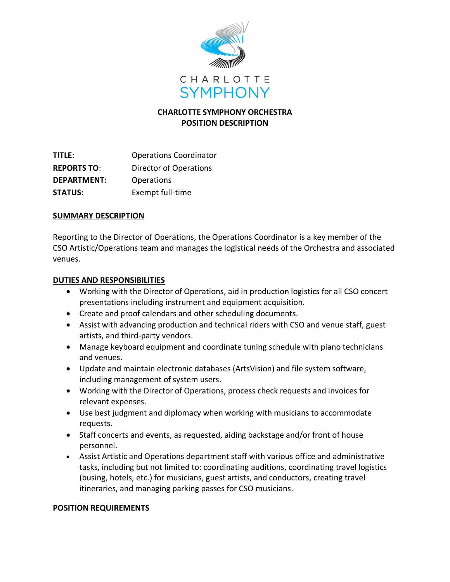

# **CHARLOTTE SYMPHONY ORCHESTRA POSITION DESCRIPTION**

**TITLE**: Operations Coordinator **REPORTS TO**: Director of Operations **DEPARTMENT:** Operations **STATUS:** Exempt full-time

### **SUMMARY DESCRIPTION**

Reporting to the Director of Operations, the Operations Coordinator is a key member of the CSO Artistic/Operations team and manages the logistical needs of the Orchestra and associated venues.

### **DUTIES AND RESPONSIBILITIES**

- Working with the Director of Operations, aid in production logistics for all CSO concert presentations including instrument and equipment acquisition.
- Create and proof calendars and other scheduling documents.
- Assist with advancing production and technical riders with CSO and venue staff, guest artists, and third-party vendors.
- Manage keyboard equipment and coordinate tuning schedule with piano technicians and venues.
- Update and maintain electronic databases (ArtsVision) and file system software, including management of system users.
- Working with the Director of Operations, process check requests and invoices for relevant expenses.
- Use best judgment and diplomacy when working with musicians to accommodate requests.
- Staff concerts and events, as requested, aiding backstage and/or front of house personnel.
- Assist Artistic and Operations department staff with various office and administrative tasks, including but not limited to: coordinating auditions, coordinating travel logistics (busing, hotels, etc.) for musicians, guest artists, and conductors, creating travel itineraries, and managing parking passes for CSO musicians.

#### **POSITION REQUIREMENTS**